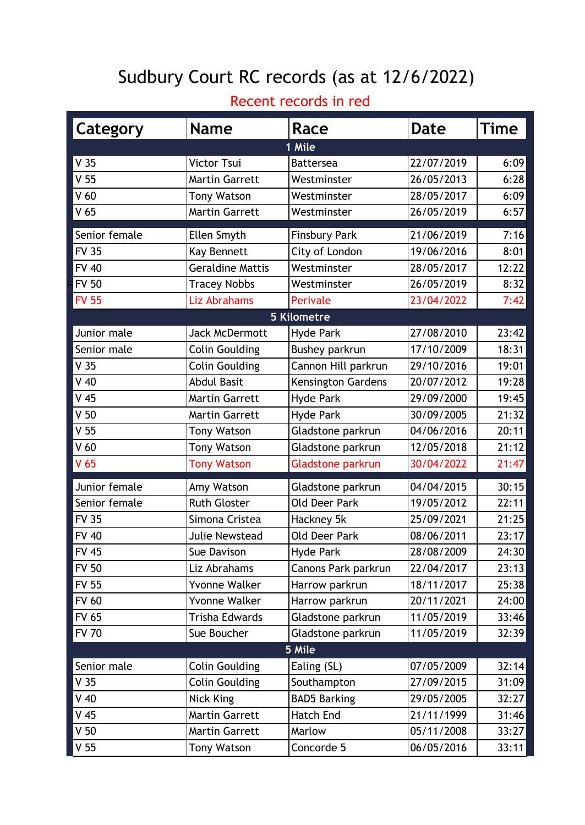## Sudbury Court RC records (as at 12/6/2022)

## Recent records in red

| Category        | <b>Name</b>             | Race                 | <b>Date</b> | <b>Time</b> |
|-----------------|-------------------------|----------------------|-------------|-------------|
|                 |                         | 1 Mile               |             |             |
| V <sub>35</sub> | Victor Tsui             | <b>Battersea</b>     | 22/07/2019  | 6:09        |
| V <sub>55</sub> | <b>Martin Garrett</b>   | Westminster          | 26/05/2013  | 6:28        |
| V <sub>60</sub> | <b>Tony Watson</b>      | Westminster          | 28/05/2017  | 6:09        |
| V <sub>65</sub> | <b>Martin Garrett</b>   | Westminster          | 26/05/2019  | 6:57        |
| Senior female   | Ellen Smyth             | <b>Finsbury Park</b> | 21/06/2019  | 7:16        |
| <b>FV 35</b>    | Kay Bennett             | City of London       | 19/06/2016  | 8:01        |
| <b>FV 40</b>    | <b>Geraldine Mattis</b> | Westminster          | 28/05/2017  | 12:22       |
| <b>FV 50</b>    | <b>Tracey Nobbs</b>     | Westminster          | 26/05/2019  | 8:32        |
| <b>FV 55</b>    | Liz Abrahams            | Perivale             | 23/04/2022  | 7:42        |
|                 |                         | <b>5 Kilometre</b>   |             |             |
| Junior male     | <b>Jack McDermott</b>   | Hyde Park            | 27/08/2010  | 23:42       |
| Senior male     | <b>Colin Goulding</b>   | Bushey parkrun       | 17/10/2009  | 18:31       |
| V <sub>35</sub> | Colin Goulding          | Cannon Hill parkrun  | 29/10/2016  | 19:01       |
| $V$ 40          | <b>Abdul Basit</b>      | Kensington Gardens   | 20/07/2012  | 19:28       |
| $V$ 45          | <b>Martin Garrett</b>   | <b>Hyde Park</b>     | 29/09/2000  | 19:45       |
| V <sub>50</sub> | <b>Martin Garrett</b>   | Hyde Park            | 30/09/2005  | 21:32       |
| V <sub>55</sub> | <b>Tony Watson</b>      | Gladstone parkrun    | 04/06/2016  | 20:11       |
| V <sub>60</sub> | <b>Tony Watson</b>      | Gladstone parkrun    | 12/05/2018  | 21:12       |
| V <sub>65</sub> | <b>Tony Watson</b>      | Gladstone parkrun    | 30/04/2022  | 21:47       |
| Junior female   | Amy Watson              | Gladstone parkrun    | 04/04/2015  | 30:15       |
| Senior female   | <b>Ruth Gloster</b>     | <b>Old Deer Park</b> | 19/05/2012  | 22:11       |
| <b>FV 35</b>    | Simona Cristea          | Hackney 5k           | 25/09/2021  | 21:25       |
| <b>FV 40</b>    | Julie Newstead          | <b>Old Deer Park</b> | 08/06/2011  | 23:17       |
| <b>FV 45</b>    | Sue Davison             | Hyde Park            | 28/08/2009  | 24:30       |
| <b>FV 50</b>    | Liz Abrahams            | Canons Park parkrun  | 22/04/2017  | 23:13       |
| <b>FV 55</b>    | Yvonne Walker           | Harrow parkrun       | 18/11/2017  | 25:38       |
| <b>FV 60</b>    | <b>Yvonne Walker</b>    | Harrow parkrun       | 20/11/2021  | 24:00       |
| <b>FV 65</b>    | Trisha Edwards          | Gladstone parkrun    | 11/05/2019  | 33:46       |
| <b>FV 70</b>    | Sue Boucher             | Gladstone parkrun    | 11/05/2019  | 32:39       |
|                 |                         | 5 Mile               |             |             |
| Senior male     | Colin Goulding          | Ealing (SL)          | 07/05/2009  | 32:14       |
| V <sub>35</sub> | <b>Colin Goulding</b>   | Southampton          | 27/09/2015  | 31:09       |
| $V$ 40          | Nick King               | <b>BAD5 Barking</b>  | 29/05/2005  | 32:27       |
| V <sub>45</sub> | <b>Martin Garrett</b>   | <b>Hatch End</b>     | 21/11/1999  | 31:46       |
| V <sub>50</sub> | <b>Martin Garrett</b>   | Marlow               | 05/11/2008  | 33:27       |
| V <sub>55</sub> | <b>Tony Watson</b>      | Concorde 5           | 06/05/2016  | 33:11       |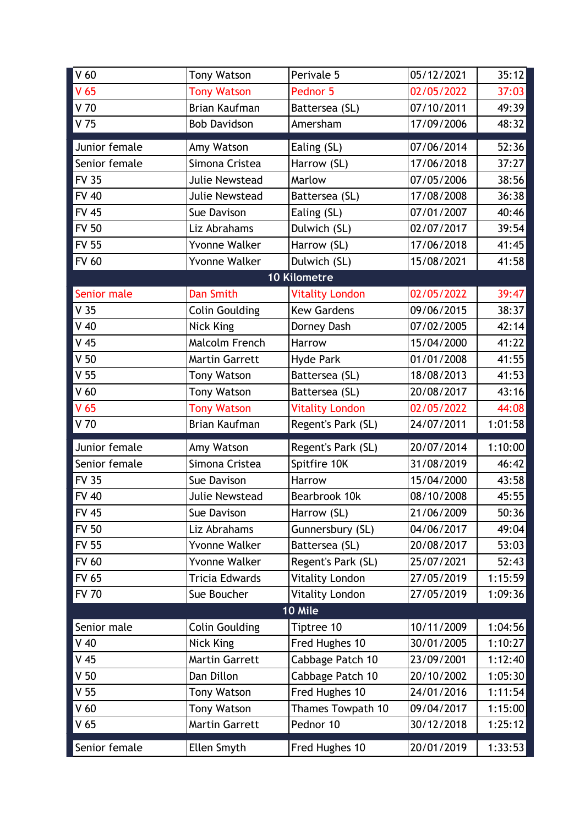| V <sub>60</sub> | <b>Tony Watson</b>    | Perivale 5             | 05/12/2021 | 35:12   |
|-----------------|-----------------------|------------------------|------------|---------|
| V <sub>65</sub> | <b>Tony Watson</b>    | Pednor 5               | 02/05/2022 | 37:03   |
| $V$ 70          | Brian Kaufman         | Battersea (SL)         | 07/10/2011 | 49:39   |
| V <sub>75</sub> | <b>Bob Davidson</b>   | Amersham               | 17/09/2006 | 48:32   |
| Junior female   | Amy Watson            | Ealing (SL)            | 07/06/2014 | 52:36   |
| Senior female   | Simona Cristea        | Harrow (SL)            | 17/06/2018 | 37:27   |
| <b>FV 35</b>    | Julie Newstead        | Marlow                 | 07/05/2006 | 38:56   |
| <b>FV 40</b>    | Julie Newstead        | Battersea (SL)         | 17/08/2008 | 36:38   |
| <b>FV 45</b>    | Sue Davison           | Ealing (SL)            | 07/01/2007 | 40:46   |
| <b>FV 50</b>    | Liz Abrahams          | Dulwich (SL)           | 02/07/2017 | 39:54   |
| <b>FV 55</b>    | Yvonne Walker         | Harrow (SL)            | 17/06/2018 | 41:45   |
| <b>FV 60</b>    | Yvonne Walker         | Dulwich (SL)           | 15/08/2021 | 41:58   |
|                 |                       | 10 Kilometre           |            |         |
| Senior male     | <b>Dan Smith</b>      | <b>Vitality London</b> | 02/05/2022 | 39:47   |
| V <sub>35</sub> | <b>Colin Goulding</b> | <b>Kew Gardens</b>     | 09/06/2015 | 38:37   |
| $V$ 40          | Nick King             | Dorney Dash            | 07/02/2005 | 42:14   |
| V <sub>45</sub> | Malcolm French        | Harrow                 | 15/04/2000 | 41:22   |
| V <sub>50</sub> | <b>Martin Garrett</b> | <b>Hyde Park</b>       | 01/01/2008 | 41:55   |
| V <sub>55</sub> | <b>Tony Watson</b>    | Battersea (SL)         | 18/08/2013 | 41:53   |
| V <sub>60</sub> | <b>Tony Watson</b>    | Battersea (SL)         | 20/08/2017 | 43:16   |
| V <sub>65</sub> | <b>Tony Watson</b>    | <b>Vitality London</b> | 02/05/2022 | 44:08   |
| $V$ 70          | Brian Kaufman         | Regent's Park (SL)     | 24/07/2011 | 1:01:58 |
| Junior female   | Amy Watson            | Regent's Park (SL)     | 20/07/2014 | 1:10:00 |
| Senior female   | Simona Cristea        | Spitfire 10K           | 31/08/2019 | 46:42   |
| <b>FV 35</b>    | Sue Davison           | Harrow                 | 15/04/2000 | 43:58   |
| <b>FV 40</b>    | Julie Newstead        | Bearbrook 10k          | 08/10/2008 | 45:55   |
| <b>FV 45</b>    | Sue Davison           | Harrow (SL)            | 21/06/2009 | 50:36   |
| <b>FV 50</b>    | Liz Abrahams          | Gunnersbury (SL)       | 04/06/2017 | 49:04   |
| <b>FV 55</b>    | Yvonne Walker         | Battersea (SL)         | 20/08/2017 | 53:03   |
| <b>FV 60</b>    | Yvonne Walker         | Regent's Park (SL)     | 25/07/2021 | 52:43   |
| <b>FV 65</b>    | Tricia Edwards        | Vitality London        | 27/05/2019 | 1:15:59 |
| <b>FV 70</b>    | Sue Boucher           | <b>Vitality London</b> | 27/05/2019 | 1:09:36 |
|                 |                       | 10 Mile                |            |         |
| Senior male     | <b>Colin Goulding</b> | Tiptree 10             | 10/11/2009 | 1:04:56 |
| $V$ 40          | Nick King             | Fred Hughes 10         | 30/01/2005 | 1:10:27 |
| $V$ 45          | <b>Martin Garrett</b> | Cabbage Patch 10       | 23/09/2001 | 1:12:40 |
| V <sub>50</sub> | Dan Dillon            | Cabbage Patch 10       | 20/10/2002 | 1:05:30 |
| V <sub>55</sub> | <b>Tony Watson</b>    | Fred Hughes 10         | 24/01/2016 | 1:11:54 |
| V <sub>60</sub> | Tony Watson           | Thames Towpath 10      | 09/04/2017 | 1:15:00 |
| V <sub>65</sub> |                       |                        |            |         |
|                 | <b>Martin Garrett</b> | Pednor 10              | 30/12/2018 | 1:25:12 |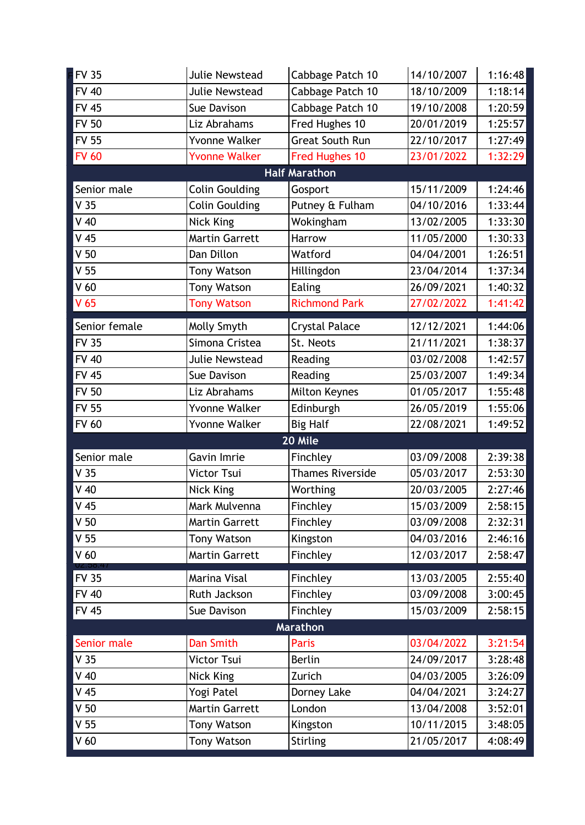| <b>FV 35</b>           | Julie Newstead        | Cabbage Patch 10       | 14/10/2007 | 1:16:48 |  |
|------------------------|-----------------------|------------------------|------------|---------|--|
| <b>FV 40</b>           | Julie Newstead        | Cabbage Patch 10       | 18/10/2009 | 1:18:14 |  |
| <b>FV 45</b>           | Sue Davison           | Cabbage Patch 10       | 19/10/2008 | 1:20:59 |  |
| <b>FV 50</b>           | Liz Abrahams          | Fred Hughes 10         | 20/01/2019 | 1:25:57 |  |
| <b>FV 55</b>           | Yvonne Walker         | <b>Great South Run</b> | 22/10/2017 | 1:27:49 |  |
| <b>FV 60</b>           | <b>Yvonne Walker</b>  | Fred Hughes 10         | 23/01/2022 | 1:32:29 |  |
|                        |                       | <b>Half Marathon</b>   |            |         |  |
| Senior male            | <b>Colin Goulding</b> | Gosport                | 15/11/2009 | 1:24:46 |  |
| V <sub>35</sub>        | <b>Colin Goulding</b> | Putney & Fulham        | 04/10/2016 | 1:33:44 |  |
| $V$ 40                 | Nick King             | Wokingham              | 13/02/2005 | 1:33:30 |  |
| $V$ 45                 | <b>Martin Garrett</b> | Harrow                 | 11/05/2000 | 1:30:33 |  |
| V <sub>50</sub>        | Dan Dillon            | Watford                | 04/04/2001 | 1:26:51 |  |
| V <sub>55</sub>        | <b>Tony Watson</b>    | Hillingdon             | 23/04/2014 | 1:37:34 |  |
| V <sub>60</sub>        | <b>Tony Watson</b>    | Ealing                 | 26/09/2021 | 1:40:32 |  |
| V <sub>65</sub>        | <b>Tony Watson</b>    | <b>Richmond Park</b>   | 27/02/2022 | 1:41:42 |  |
| Senior female          | Molly Smyth           | <b>Crystal Palace</b>  | 12/12/2021 | 1:44:06 |  |
| <b>FV 35</b>           | Simona Cristea        | St. Neots              | 21/11/2021 | 1:38:37 |  |
| <b>FV 40</b>           | Julie Newstead        | Reading                | 03/02/2008 | 1:42:57 |  |
| <b>FV 45</b>           | Sue Davison           | Reading                | 25/03/2007 | 1:49:34 |  |
| <b>FV 50</b>           | Liz Abrahams          | Milton Keynes          | 01/05/2017 | 1:55:48 |  |
| <b>FV 55</b>           | Yvonne Walker         | Edinburgh              | 26/05/2019 | 1:55:06 |  |
| <b>FV 60</b>           | Yvonne Walker         | <b>Big Half</b>        | 22/08/2021 | 1:49:52 |  |
| 20 Mile                |                       |                        |            |         |  |
|                        |                       |                        |            |         |  |
| Senior male            | Gavin Imrie           | Finchley               | 03/09/2008 | 2:39:38 |  |
| V <sub>35</sub>        | Victor Tsui           | Thames Riverside       | 05/03/2017 | 2:53:30 |  |
| $V$ 40                 | Nick King             | Worthing               | 20/03/2005 | 2:27:46 |  |
| $V$ 45                 | Mark Mulvenna         | Finchley               | 15/03/2009 | 2:58:15 |  |
| V <sub>50</sub>        | <b>Martin Garrett</b> | Finchley               | 03/09/2008 | 2:32:31 |  |
| V <sub>55</sub>        | <b>Tony Watson</b>    | Kingston               | 04/03/2016 | 2:46:16 |  |
| V <sub>60</sub>        | <b>Martin Garrett</b> | Finchley               | 12/03/2017 | 2:58:47 |  |
| UZ.00.<br><b>FV 35</b> | Marina Visal          | Finchley               | 13/03/2005 | 2:55:40 |  |
| <b>FV 40</b>           | Ruth Jackson          | Finchley               | 03/09/2008 | 3:00:45 |  |
| <b>FV 45</b>           | Sue Davison           | Finchley               | 15/03/2009 | 2:58:15 |  |
|                        |                       | Marathon               |            |         |  |
| Senior male            | Dan Smith             | Paris                  | 03/04/2022 | 3:21:54 |  |
| V <sub>35</sub>        | Victor Tsui           | Berlin                 | 24/09/2017 | 3:28:48 |  |
| $V$ 40                 | Nick King             | Zurich                 | 04/03/2005 | 3:26:09 |  |
| $V$ 45                 | Yogi Patel            | Dorney Lake            | 04/04/2021 | 3:24:27 |  |
| V <sub>50</sub>        | <b>Martin Garrett</b> | London                 | 13/04/2008 | 3:52:01 |  |
| V <sub>55</sub>        | <b>Tony Watson</b>    | Kingston               | 10/11/2015 | 3:48:05 |  |